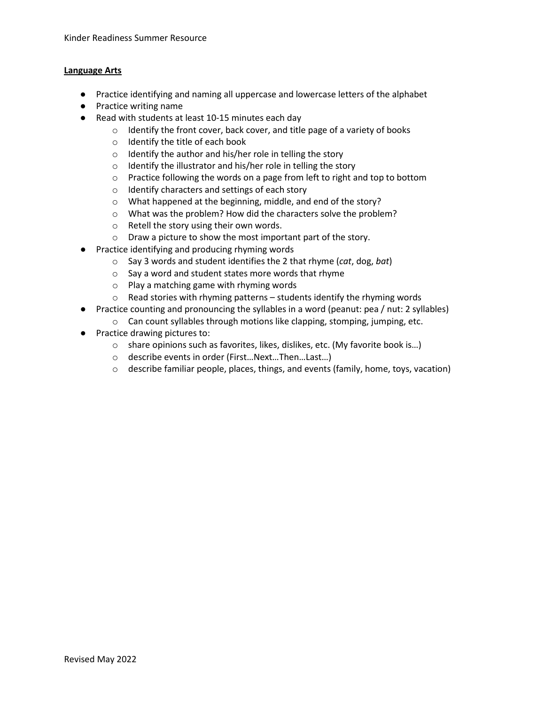#### **Language Arts**

- Practice identifying and naming all uppercase and lowercase letters of the alphabet
- Practice writing name
- Read with students at least 10-15 minutes each day
	- o Identify the front cover, back cover, and title page of a variety of books
	- o Identify the title of each book
	- o Identify the author and his/her role in telling the story
	- o Identify the illustrator and his/her role in telling the story
	- $\circ$  Practice following the words on a page from left to right and top to bottom
	- o Identify characters and settings of each story
	- o What happened at the beginning, middle, and end of the story?
	- o What was the problem? How did the characters solve the problem?
	- o Retell the story using their own words.
	- o Draw a picture to show the most important part of the story.
- Practice identifying and producing rhyming words
	- o Say 3 words and student identifies the 2 that rhyme (*cat*, dog, *bat*)
	- o Say a word and student states more words that rhyme
	- o Play a matching game with rhyming words
	- o Read stories with rhyming patterns students identify the rhyming words
- Practice counting and pronouncing the syllables in a word (peanut: pea / nut: 2 syllables)
	- o Can count syllables through motions like clapping, stomping, jumping, etc.
- Practice drawing pictures to:
	- $\circ$  share opinions such as favorites, likes, dislikes, etc. (My favorite book is...)
	- o describe events in order (First…Next…Then…Last…)
	- $\circ$  describe familiar people, places, things, and events (family, home, toys, vacation)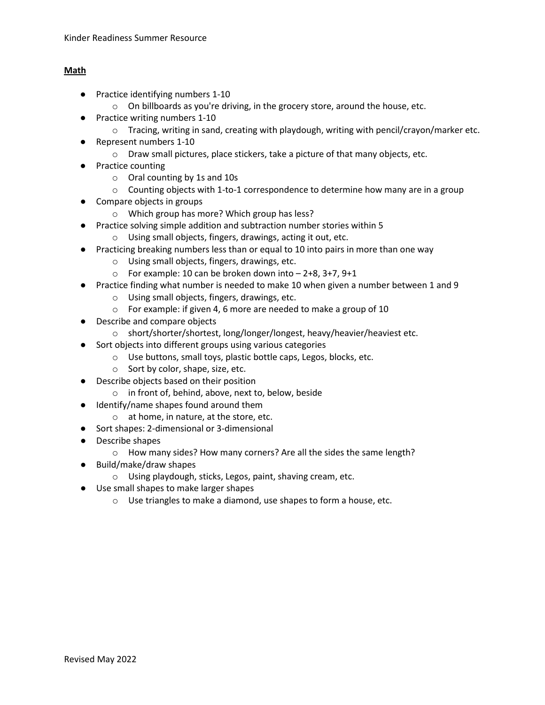#### **Math**

- Practice identifying numbers 1-10
	- o On billboards as you're driving, in the grocery store, around the house, etc.
- Practice writing numbers 1-10
	- $\circ$  Tracing, writing in sand, creating with playdough, writing with pencil/crayon/marker etc.
- Represent numbers 1-10
	- $\circ$  Draw small pictures, place stickers, take a picture of that many objects, etc.
- Practice counting
	- o Oral counting by 1s and 10s
	- $\circ$  Counting objects with 1-to-1 correspondence to determine how many are in a group
- Compare objects in groups
	- o Which group has more? Which group has less?
- Practice solving simple addition and subtraction number stories within 5
	- o Using small objects, fingers, drawings, acting it out, etc.
- Practicing breaking numbers less than or equal to 10 into pairs in more than one way
	- o Using small objects, fingers, drawings, etc.
	- $\circ$  For example: 10 can be broken down into  $-$  2+8, 3+7, 9+1
- Practice finding what number is needed to make 10 when given a number between 1 and 9
	- o Using small objects, fingers, drawings, etc.
	- o For example: if given 4, 6 more are needed to make a group of 10
- Describe and compare objects
	- o short/shorter/shortest, long/longer/longest, heavy/heavier/heaviest etc.
- Sort objects into different groups using various categories
	- o Use buttons, small toys, plastic bottle caps, Legos, blocks, etc.
	- o Sort by color, shape, size, etc.
- Describe objects based on their position
	- o in front of, behind, above, next to, below, beside
- Identify/name shapes found around them
	- o at home, in nature, at the store, etc.
- Sort shapes: 2-dimensional or 3-dimensional
- Describe shapes
	- o How many sides? How many corners? Are all the sides the same length?
- Build/make/draw shapes
	- o Using playdough, sticks, Legos, paint, shaving cream, etc.
- Use small shapes to make larger shapes
	- o Use triangles to make a diamond, use shapes to form a house, etc.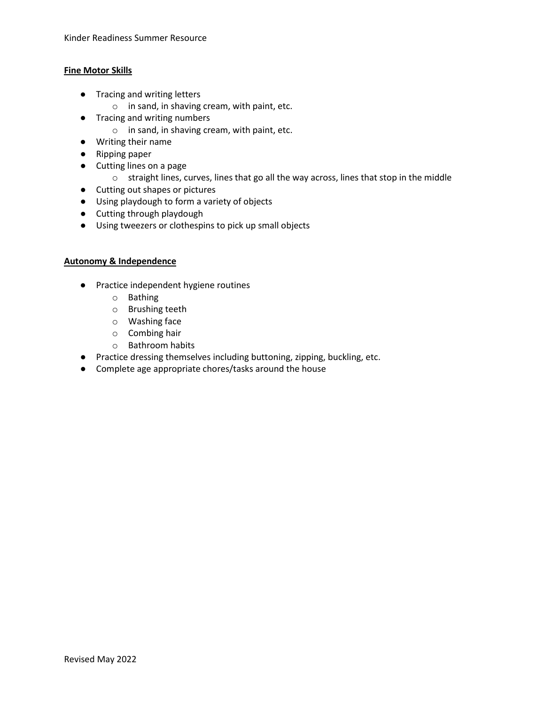#### **Fine Motor Skills**

- Tracing and writing letters
	- o in sand, in shaving cream, with paint, etc.
- Tracing and writing numbers
	- o in sand, in shaving cream, with paint, etc.
- Writing their name
- Ripping paper
- Cutting lines on a page
	- o straight lines, curves, lines that go all the way across, lines that stop in the middle
- Cutting out shapes or pictures
- Using playdough to form a variety of objects
- Cutting through playdough
- Using tweezers or clothespins to pick up small objects

#### **Autonomy & Independence**

- Practice independent hygiene routines
	- o Bathing
	- o Brushing teeth
	- o Washing face
	- o Combing hair
	- o Bathroom habits
- Practice dressing themselves including buttoning, zipping, buckling, etc.
- Complete age appropriate chores/tasks around the house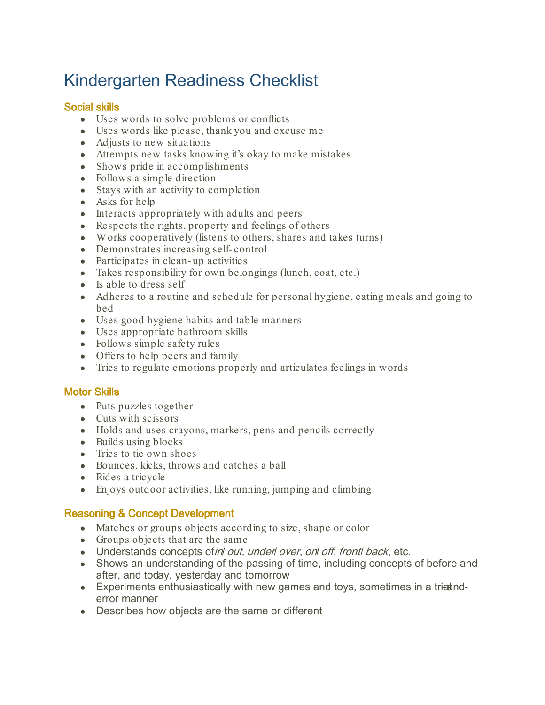# Kindergarten Readiness Checklist

# Social skills

- Uses words to solve problems or conflicts
- Uses words like please, thank you and excuse me
- Adjusts to new situations
- Attempts new tasks knowing it's okay to make mistakes
- Shows pride in accomplishments
- Follows a simple direction
- Stays with an activity to completion
- Asks for help
- Interacts appropriately with adults and peers
- Respects the rights, property and feelings of others
- Works cooperatively (listens to others, shares and takes turns)
- Demonstrates increasing self- control
- Participates in clean-up activities
- Takes responsibility for own belongings (lunch, coat, etc.)
- Is able to dress self
- Adheres to a routine and schedule for personal hygiene, eating meals and going to bed
- Uses good hygiene habits and table manners
- Uses appropriate bathroom skills
- Follows simple safety rules
- Offers to help peers and family
- Tries to regulate emotions properly and articulates feelings in words

## Motor Skills

- Puts puzzles together
- Cuts with scissors
- Holds and uses crayons, markers, pens and pencils correctly
- Builds using blocks
- Tries to tie own shoes
- Bounces, kicks, throws and catches a ball
- Rides a tricycle
- Enjoys outdoor activities, like running, jumping and climbing

## Reasoning & Concept Development

- Matches or groups objects according to size, shape or color
- Groups objects that are the same
- Understands concepts of in out, underl over, on off, front back, etc.
- Shows an understanding of the passing of time, including concepts of before and after, and today, yesterday and tomorrow
- Experiments enthusiastically with new games and toys, sometimes in a tria anderror manner
- Describes how objects are the same or different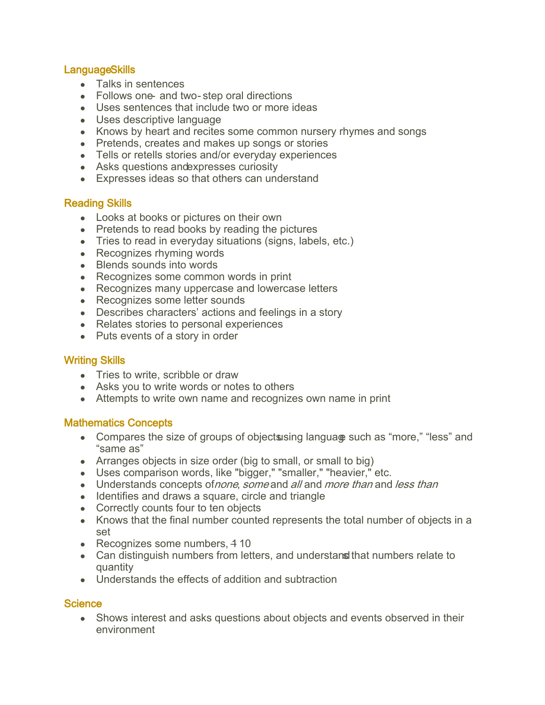# Language Skills

- Talks in sentences
- Follows one- and two-step oral directions
- Uses sentences that include two or more ideas
- Uses descriptive language
- Knows by heart and recites some common nursery rhymes and songs
- Pretends, creates and makes up songs or stories
- Tells or retells stories and/or everyday experiences
- Asks questions and expresses curiosity
- Expresses ideas so that others can understand

## Reading Skills

- Looks at books or pictures on their own
- Pretends to read books by reading the pictures
- Tries to read in everyday situations (signs, labels, etc.)
- Recognizes rhyming words
- Blends sounds into words
- Recognizes some common words in print
- Recognizes many uppercase and lowercase letters
- Recognizes some letter sounds
- Describes characters' actions and feelings in a story
- Relates stories to personal experiences
- Puts events of a story in order

## Writing Skills

- Tries to write, scribble or draw
- Asks you to write words or notes to others
- Attempts to write own name and recognizes own name in print

## Mathematics Concepts

- Compares the size of groups of objects using langua of such as "more," "less" and "same as"
- Arranges objects in size order (big to small, or small to big)
- Uses comparison words, like "bigger," "smaller," "heavier," etc.
- Understands concepts of none, some and all and more than and less than
- Identifies and draws a square, circle and triangle
- Correctly counts four to ten objects
- Knows that the final number counted represents the total number of objects in a set
- $\bullet$  Recognizes some numbers, 410
- Can distinguish numbers from letters, and understand that numbers relate to quantity
- Understands the effects of addition and subtraction

## **Science**

• Shows interest and asks questions about objects and events observed in their environment